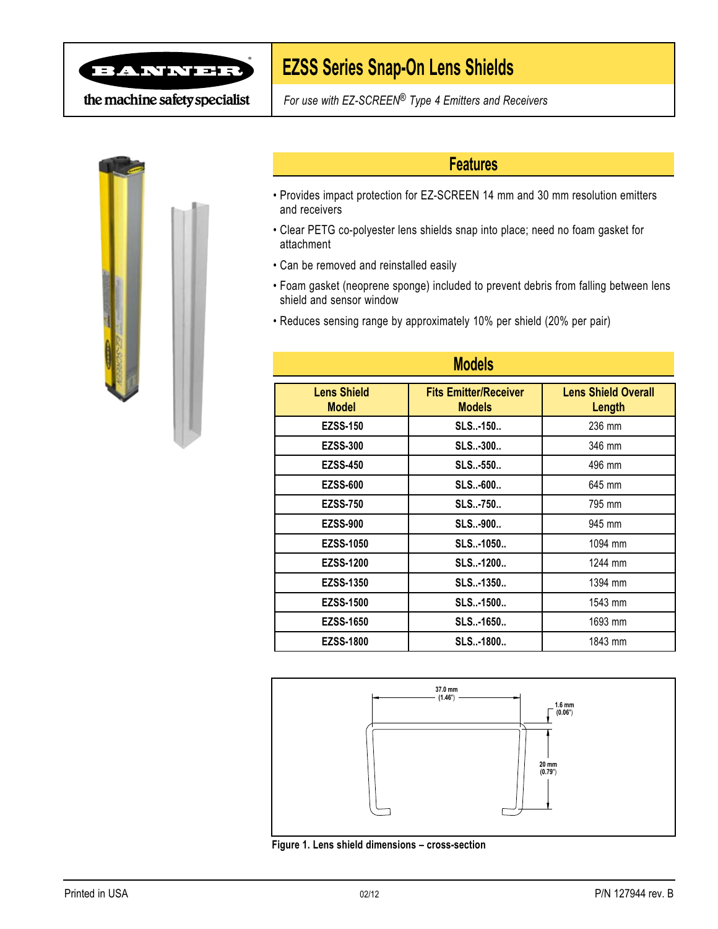

## **EZSS Series Snap-On Lens Shields**

the machine safety specialist

*For use with EZ-SCREEN® Type 4 Emitters and Receivers*



#### **Features**

- Provides impact protection for EZ-SCREEN 14 mm and 30 mm resolution emitters and receivers
- Clear PETG co-polyester lens shields snap into place; need no foam gasket for attachment
- Can be removed and reinstalled easily
- Foam gasket (neoprene sponge) included to prevent debris from falling between lens shield and sensor window
- Reduces sensing range by approximately 10% per shield (20% per pair)

| <b>Models</b>                      |                                               |                                      |
|------------------------------------|-----------------------------------------------|--------------------------------------|
| <b>Lens Shield</b><br><b>Model</b> | <b>Fits Emitter/Receiver</b><br><b>Models</b> | <b>Lens Shield Overall</b><br>Length |
| <b>EZSS-150</b>                    | SLS-150                                       | 236 mm                               |
| <b>EZSS-300</b>                    | <b>SLS-300</b>                                | 346 mm                               |
| <b>EZSS-450</b>                    | SLS-550                                       | 496 mm                               |
| <b>EZSS-600</b>                    | SLS-600                                       | 645 mm                               |
| <b>EZSS-750</b>                    | <b>SLS-750</b>                                | 795 mm                               |
| <b>EZSS-900</b>                    | <b>SLS-900</b>                                | 945 mm                               |
| <b>EZSS-1050</b>                   | SLS-1050                                      | 1094 mm                              |
| <b>EZSS-1200</b>                   | SLS-1200                                      | 1244 mm                              |
| <b>EZSS-1350</b>                   | SLS-1350                                      | 1394 mm                              |
| <b>EZSS-1500</b>                   | SLS-1500                                      | 1543 mm                              |
| <b>EZSS-1650</b>                   | SLS-1650                                      | 1693 mm                              |
| <b>EZSS-1800</b>                   | SLS-1800                                      | 1843 mm                              |



**Figure 1. Lens shield dimensions – cross-section**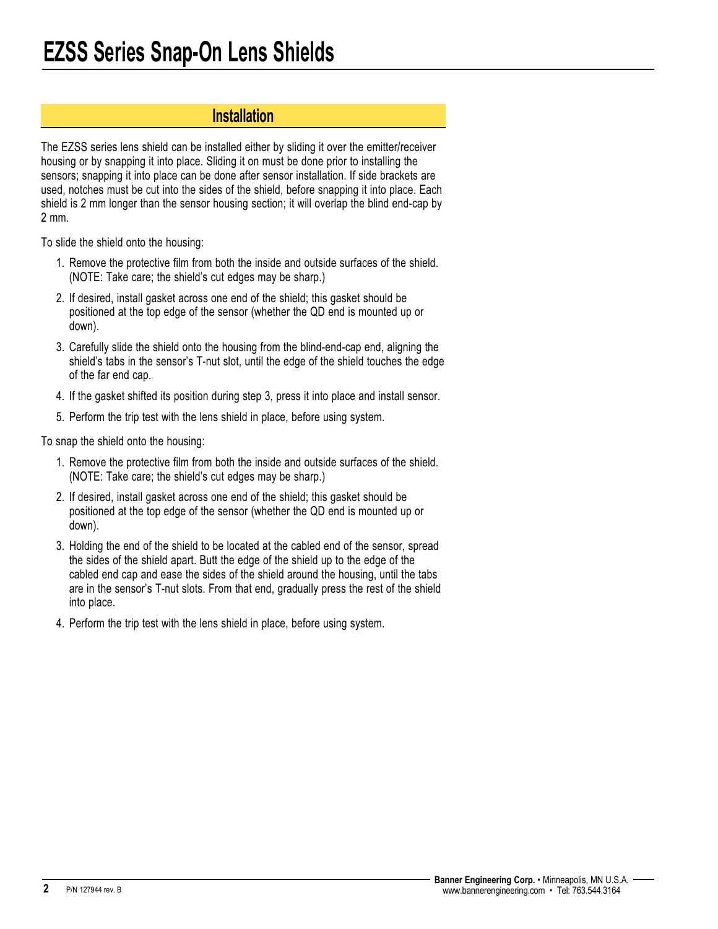#### **Installation**

The EZSS series lens shield can be installed either by sliding it over the emitter/receiver housing or by snapping it into place. Sliding it on must be done prior to installing the sensors; snapping it into place can be done after sensor installation. If side brackets are used, notches must be cut into the sides of the shield, before snapping it into place. Each shield is 2 mm longer than the sensor housing section; it will overlap the blind end-cap by 2 mm.

To slide the shield onto the housing:

- 1. Remove the protective film from both the inside and outside surfaces of the shield. (NOTE: Take care; the shield's cut edges may be sharp.)
- 2. If desired, install gasket across one end of the shield; this gasket should be positioned at the top edge of the sensor (whether the QD end is mounted up or down).
- 3. Carefully slide the shield onto the housing from the blind-end-cap end, aligning the shield's tabs in the sensor's T-nut slot, until the edge of the shield touches the edge of the far end cap.
- 4. If the gasket shifted its position during step 3, press it into place and install sensor.
- 5. Perform the trip test with the lens shield in place, before using system.

To snap the shield onto the housing:

- 1. Remove the protective film from both the inside and outside surfaces of the shield. (NOTE: Take care; the shield's cut edges may be sharp.)
- 2. If desired, install gasket across one end of the shield; this gasket should be positioned at the top edge of the sensor (whether the QD end is mounted up or down).
- 3. Holding the end of the shield to be located at the cabled end of the sensor, spread the sides of the shield apart. Butt the edge of the shield up to the edge of the cabled end cap and ease the sides of the shield around the housing, until the tabs are in the sensor's T-nut slots. From that end, gradually press the rest of the shield into place.
- 4. Perform the trip test with the lens shield in place, before using system.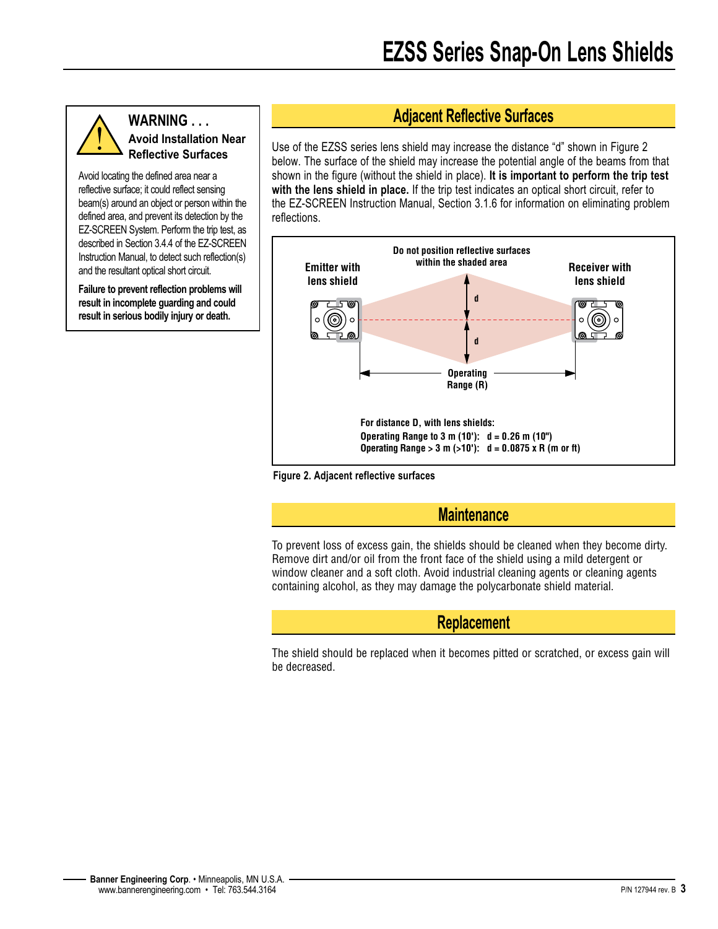#### **WARNING . . . Avoid Installation Near Reflective Surfaces**

Avoid locating the defined area near a reflective surface; it could reflect sensing beam(s) around an object or person within the defined area, and prevent its detection by the EZ-SCREEN System. Perform the trip test, as described in Section 3.4.4 of the EZ-SCREEN Instruction Manual, to detect such reflection(s) and the resultant optical short circuit.

**Failure to prevent reflection problems will result in incomplete guarding and could result in serious bodily injury or death.**

### **Adjacent Reflective Surfaces**

Use of the EZSS series lens shield may increase the distance "d" shown in Figure 2 below. The surface of the shield may increase the potential angle of the beams from that shown in the figure (without the shield in place). **It is important to perform the trip test with the lens shield in place.** If the trip test indicates an optical short circuit, refer to the EZ-SCREEN Instruction Manual, Section 3.1.6 for information on eliminating problem reflections.





#### **Maintenance**

To prevent loss of excess gain, the shields should be cleaned when they become dirty. Remove dirt and/or oil from the front face of the shield using a mild detergent or window cleaner and a soft cloth. Avoid industrial cleaning agents or cleaning agents containing alcohol, as they may damage the polycarbonate shield material.

#### **Replacement**

The shield should be replaced when it becomes pitted or scratched, or excess gain will be decreased.